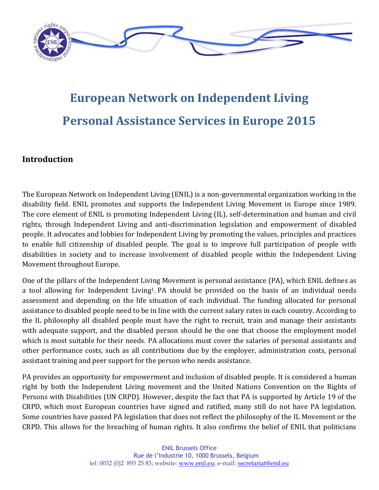

# **European Network on Independent Living Personal Assistance Services in Europe 2015**

# **Introduction**

The European Network on Independent Living (ENIL) is a non-governmental organization working in the disability field. ENIL promotes and supports the Independent Living Movement in Europe since 1989. The core element of ENIL is promoting Independent Living (IL), self-determination and human and civil rights, through Independent Living and anti-discrimination legislation and empowerment of disabled people. It advocates and lobbies for Independent Living by promoting the values, principles and practices to enable full citizenship of disabled people. The goal is to improve full participation of people with disabilities in society and to increase involvement of disabled people within the Independent Living Movement throughout Europe.

One of the pillars of the Independent Living Movement is personal assistance (PA), which ENIL defines as a tool allowing for Independent Living<sup>1</sup>. PA should be provided on the basis of an individual needs assessment and depending on the life situation of each individual. The funding allocated for personal assistance to disabled people need to be in line with the current salary rates in each country. According to the IL philosophy all disabled people must have the right to recruit, train and manage their assistants with adequate support, and the disabled person should be the one that choose the employment model which is most suitable for their needs. PA allocations must cover the salaries of personal assistants and other performance costs, such as all contributions due by the employer, administration costs, personal assistant training and peer support for the person who needs assistance.

PA provides an opportunity for empowerment and inclusion of disabled people. It is considered a human right by both the Independent Living movement and the United Nations Convention on the Rights of Persons with Disabilities (UN CRPD). However, despite the fact that PA is supported by Article 19 of the CRPD, which most European countries have signed and ratified, many still do not have PA legislation. Some countries have passed PA legislation that does not reflect the philosophy of the IL Movement or the CRPD. This allows for the breaching of human rights. It also confirms the belief of ENIL that politicians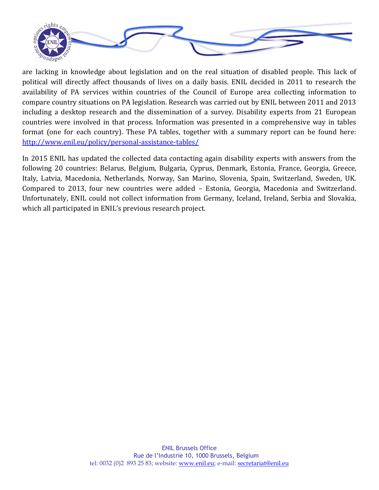

are lacking in knowledge about legislation and on the real situation of disabled people. This lack of political will directly affect thousands of lives on a daily basis. ENIL decided in 2011 to research the availability of PA services within countries of the Council of Europe area collecting information to compare country situations on PA legislation. Research was carried out by ENIL between 2011 and 2013 including a desktop research and the dissemination of a survey. Disability experts from 21 European countries were involved in that process. Information was presented in a comprehensive way in tables format (one for each country). These PA tables, together with a summary report can be found here: <http://www.enil.eu/policy/personal-assistance-tables/>

In 2015 ENIL has updated the collected data contacting again disability experts with answers from the following 20 countries: Belarus, Belgium, Bulgaria, Cyprus, Denmark, Estonia, France, Georgia, Greece, Italy, Latvia, Macedonia, Netherlands, Norway, San Marino, Slovenia, Spain, Switzerland, Sweden, UK. Compared to 2013, four new countries were added – Estonia, Georgia, Macedonia and Switzerland. Unfortunately, ENIL could not collect information from Germany, Iceland, Ireland, Serbia and Slovakia, which all participated in ENIL's previous research project.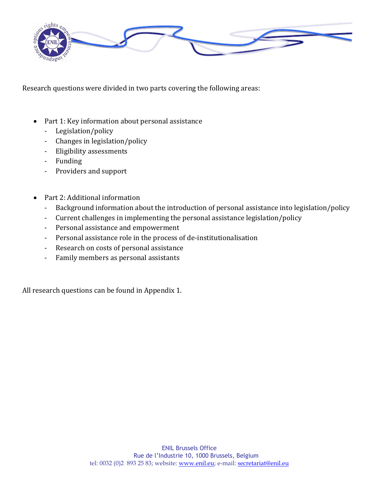

Research questions were divided in two parts covering the following areas:

- Part 1: Key information about personal assistance
	- Legislation/policy
	- Changes in legislation/policy
	- Eligibility assessments
	- Funding
	- Providers and support
- Part 2: Additional information
	- Background information about the introduction of personal assistance into legislation/policy
	- Current challenges in implementing the personal assistance legislation/policy
	- Personal assistance and empowerment
	- Personal assistance role in the process of de-institutionalisation
	- Research on costs of personal assistance
	- Family members as personal assistants

All research questions can be found in Appendix 1.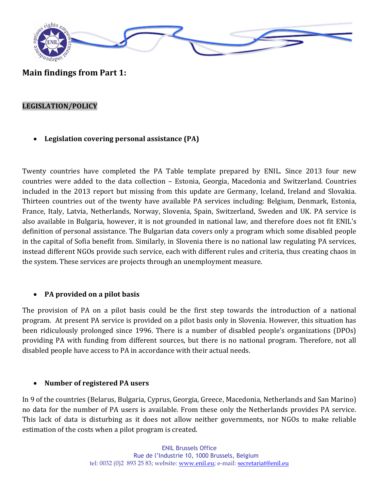

**Main findings from Part 1:**

### **LEGISLATION/POLICY**

**Legislation covering personal assistance (PA)**

Twenty countries have completed the PA Table template prepared by ENIL. Since 2013 four new countries were added to the data collection – Estonia, Georgia, Macedonia and Switzerland. Countries included in the 2013 report but missing from this update are Germany, Iceland, Ireland and Slovakia. Thirteen countries out of the twenty have available PA services including: Belgium, Denmark, Estonia, France, Italy, Latvia, Netherlands, Norway, Slovenia, Spain, Switzerland, Sweden and UK. PA service is also available in Bulgaria, however, it is not grounded in national law, and therefore does not fit ENIL's definition of personal assistance. The Bulgarian data covers only a program which some disabled people in the capital of Sofia benefit from. Similarly, in Slovenia there is no national law regulating PA services, instead different NGOs provide such service, each with different rules and criteria, thus creating chaos in the system. These services are projects through an unemployment measure.

## **PA provided on a pilot basis**

The provision of PA on a pilot basis could be the first step towards the introduction of a national program. At present PA service is provided on a pilot basis only in Slovenia. However, this situation has been ridiculously prolonged since 1996. There is a number of disabled people's organizations (DPOs) providing PA with funding from different sources, but there is no national program. Therefore, not all disabled people have access to PA in accordance with their actual needs.

## **Number of registered PA users**

In 9 of the countries (Belarus, Bulgaria, Cyprus, Georgia, Greece, Macedonia, Netherlands and San Marino) no data for the number of PA users is available. From these only the Netherlands provides PA service. This lack of data is disturbing as it does not allow neither governments, nor NGOs to make reliable estimation of the costs when a pilot program is created.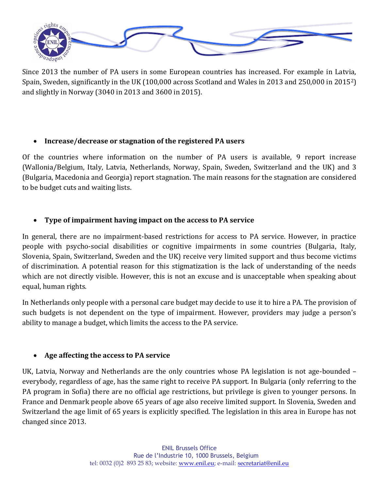

Since 2013 the number of PA users in some European countries has increased. For example in Latvia, Spain, Sweden, significantly in the UK (100,000 across Scotland and Wales in 2013 and 250,000 in 20152) and slightly in Norway (3040 in 2013 and 3600 in 2015).

## **Increase/decrease or stagnation of the registered PA users**

Of the countries where information on the number of PA users is available, 9 report increase (Wallonia/Belgium, Italy, Latvia, Netherlands, Norway, Spain, Sweden, Switzerland and the UK) and 3 (Bulgaria, Macedonia and Georgia) report stagnation. The main reasons for the stagnation are considered to be budget cuts and waiting lists.

# **Type of impairment having impact on the access to PA service**

In general, there are no impairment-based restrictions for access to PA service. However, in practice people with psycho-social disabilities or cognitive impairments in some countries (Bulgaria, Italy, Slovenia, Spain, Switzerland, Sweden and the UK) receive very limited support and thus become victims of discrimination. A potential reason for this stigmatization is the lack of understanding of the needs which are not directly visible. However, this is not an excuse and is unacceptable when speaking about equal, human rights.

In Netherlands only people with a personal care budget may decide to use it to hire a PA. The provision of such budgets is not dependent on the type of impairment. However, providers may judge a person's ability to manage a budget, which limits the access to the PA service.

## **Age affecting the access to PA service**

UK, Latvia, Norway and Netherlands are the only countries whose PA legislation is not age-bounded – everybody, regardless of age, has the same right to receive PA support. In Bulgaria (only referring to the PA program in Sofia) there are no official age restrictions, but privilege is given to younger persons. In France and Denmark people above 65 years of age also receive limited support. In Slovenia, Sweden and Switzerland the age limit of 65 years is explicitly specified. The legislation in this area in Europe has not changed since 2013.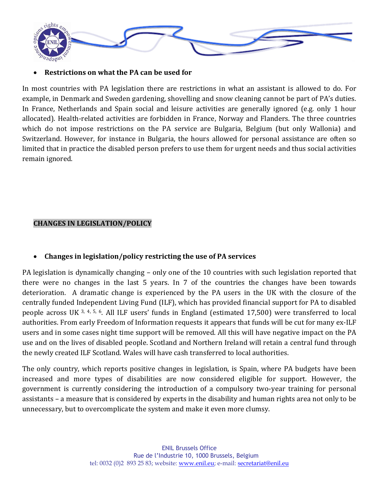

#### **Restrictions on what the PA can be used for**

In most countries with PA legislation there are restrictions in what an assistant is allowed to do. For example, in Denmark and Sweden gardening, shovelling and snow cleaning cannot be part of PA's duties. In France, Netherlands and Spain social and leisure activities are generally ignored (e.g. only 1 hour allocated). Health-related activities are forbidden in France, Norway and Flanders. The three countries which do not impose restrictions on the PA service are Bulgaria, Belgium (but only Wallonia) and Switzerland. However, for instance in Bulgaria, the hours allowed for personal assistance are often so limited that in practice the disabled person prefers to use them for urgent needs and thus social activities remain ignored.

## **CHANGES IN LEGISLATION/POLICY**

## **Changes in legislation/policy restricting the use of PA services**

PA legislation is dynamically changing – only one of the 10 countries with such legislation reported that there were no changes in the last 5 years. In 7 of the countries the changes have been towards deterioration. A dramatic change is experienced by the PA users in the UK with the closure of the centrally funded Independent Living Fund (ILF), which has provided financial support for PA to disabled people across UK 3, 4, 5, 6. All ILF users' funds in England (estimated 17,500) were transferred to local authorities. From early Freedom of Information requests it appears that funds will be cut for many ex-ILF users and in some cases night time support will be removed. All this will have negative impact on the PA use and on the lives of disabled people. Scotland and Northern Ireland will retain a central fund through the newly created ILF Scotland. Wales will have cash transferred to local authorities.

The only country, which reports positive changes in legislation, is Spain, where PA budgets have been increased and more types of disabilities are now considered eligible for support. However, the government is currently considering the introduction of a compulsory two-year training for personal assistants – a measure that is considered by experts in the disability and human rights area not only to be unnecessary, but to overcomplicate the system and make it even more clumsy.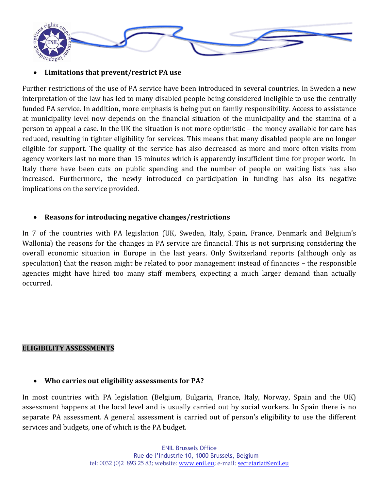

#### **Limitations that prevent/restrict PA use**

Further restrictions of the use of PA service have been introduced in several countries. In Sweden a new interpretation of the law has led to many disabled people being considered ineligible to use the centrally funded PA service. In addition, more emphasis is being put on family responsibility. Access to assistance at municipality level now depends on the financial situation of the municipality and the stamina of a person to appeal a case. In the UK the situation is not more optimistic – the money available for care has reduced, resulting in tighter eligibility for services. This means that many disabled people are no longer eligible for support. The quality of the service has also decreased as more and more often visits from agency workers last no more than 15 minutes which is apparently insufficient time for proper work. In Italy there have been cuts on public spending and the number of people on waiting lists has also increased. Furthermore, the newly introduced co-participation in funding has also its negative implications on the service provided.

#### **Reasons for introducing negative changes/restrictions**

In 7 of the countries with PA legislation (UK, Sweden, Italy, Spain, France, Denmark and Belgium's Wallonia) the reasons for the changes in PA service are financial. This is not surprising considering the overall economic situation in Europe in the last years. Only Switzerland reports (although only as speculation) that the reason might be related to poor management instead of financies – the responsible agencies might have hired too many staff members, expecting a much larger demand than actually occurred.

#### **ELIGIBILITY ASSESSMENTS**

#### **Who carries out eligibility assessments for PA?**

In most countries with PA legislation (Belgium, Bulgaria, France, Italy, Norway, Spain and the UK) assessment happens at the local level and is usually carried out by social workers. In Spain there is no separate PA assessment. A general assessment is carried out of person's eligibility to use the different services and budgets, one of which is the PA budget.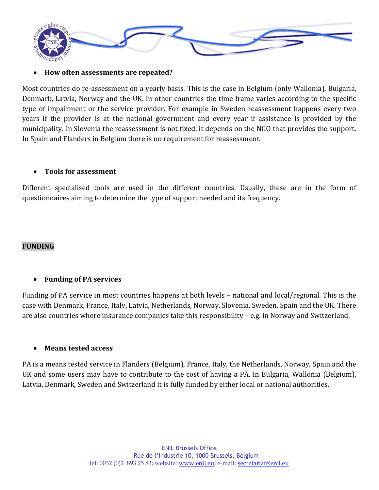

#### **How often assessments are repeated?**

Most countries do re-assessment on a yearly basis. This is the case in Belgium (only Wallonia), Bulgaria, Denmark, Latvia, Norway and the UK. In other countries the time frame varies according to the specific type of impairment or the service provider. For example in Sweden reassessment happens every two years if the provider is at the national government and every year if assistance is provided by the municipality. In Slovenia the reassessment is not fixed, it depends on the NGO that provides the support. In Spain and Flanders in Belgium there is no requirement for reassessment.

#### **Tools for assessment**

Different specialised tools are used in the different countries. Usually, these are in the form of questionnaires aiming to determine the type of support needed and its frequency.

#### **FUNDING**

#### **Funding of PA services**

Funding of PA service in most countries happens at both levels – national and local/regional. This is the case with Denmark, France, Italy, Latvia, Netherlands, Norway, Slovenia, Sweden, Spain and the UK. There are also countries where insurance companies take this responsibility – e.g. in Norway and Switzerland.

#### **Means tested access**

PA is a means tested service in Flanders (Belgium), France, Italy, the Netherlands, Norway, Spain and the UK and some users may have to contribute to the cost of having a PA. In Bulgaria, Wallonia (Belgium), Latvia, Denmark, Sweden and Switzerland it is fully funded by either local or national authorities.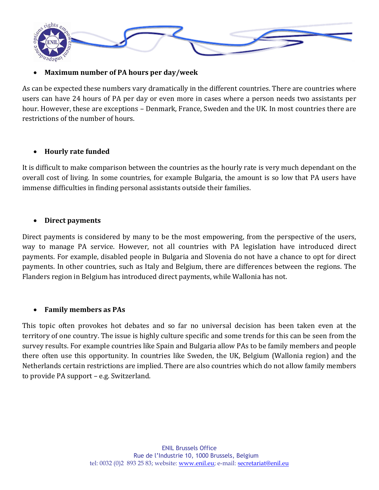

#### **Maximum number of PA hours per day/week**

As can be expected these numbers vary dramatically in the different countries. There are countries where users can have 24 hours of PA per day or even more in cases where a person needs two assistants per hour. However, these are exceptions – Denmark, France, Sweden and the UK. In most countries there are restrictions of the number of hours.

#### **Hourly rate funded**

It is difficult to make comparison between the countries as the hourly rate is very much dependant on the overall cost of living. In some countries, for example Bulgaria, the amount is so low that PA users have immense difficulties in finding personal assistants outside their families.

#### **Direct payments**

Direct payments is considered by many to be the most empowering, from the perspective of the users, way to manage PA service. However, not all countries with PA legislation have introduced direct payments. For example, disabled people in Bulgaria and Slovenia do not have a chance to opt for direct payments. In other countries, such as Italy and Belgium, there are differences between the regions. The Flanders region in Belgium has introduced direct payments, while Wallonia has not.

#### **Family members as PAs**

This topic often provokes hot debates and so far no universal decision has been taken even at the territory of one country. The issue is highly culture specific and some trends for this can be seen from the survey results. For example countries like Spain and Bulgaria allow PAs to be family members and people there often use this opportunity. In countries like Sweden, the UK, Belgium (Wallonia region) and the Netherlands certain restrictions are implied. There are also countries which do not allow family members to provide PA support – e.g. Switzerland.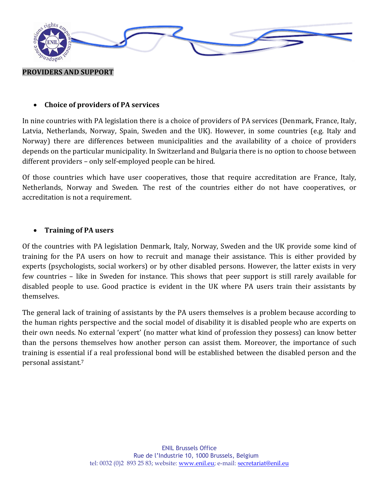

#### **Choice of providers of PA services**

In nine countries with PA legislation there is a choice of providers of PA services (Denmark, France, Italy, Latvia, Netherlands, Norway, Spain, Sweden and the UK). However, in some countries (e.g. Italy and Norway) there are differences between municipalities and the availability of a choice of providers depends on the particular municipality. In Switzerland and Bulgaria there is no option to choose between different providers – only self-employed people can be hired.

Of those countries which have user cooperatives, those that require accreditation are France, Italy, Netherlands, Norway and Sweden. The rest of the countries either do not have cooperatives, or accreditation is not a requirement.

#### **Training of PA users**

Of the countries with PA legislation Denmark, Italy, Norway, Sweden and the UK provide some kind of training for the PA users on how to recruit and manage their assistance. This is either provided by experts (psychologists, social workers) or by other disabled persons. However, the latter exists in very few countries – like in Sweden for instance. This shows that peer support is still rarely available for disabled people to use. Good practice is evident in the UK where PA users train their assistants by themselves.

The general lack of training of assistants by the PA users themselves is a problem because according to the human rights perspective and the social model of disability it is disabled people who are experts on their own needs. No external 'expert' (no matter what kind of profession they possess) can know better than the persons themselves how another person can assist them. Moreover, the importance of such training is essential if a real professional bond will be established between the disabled person and the personal assistant.7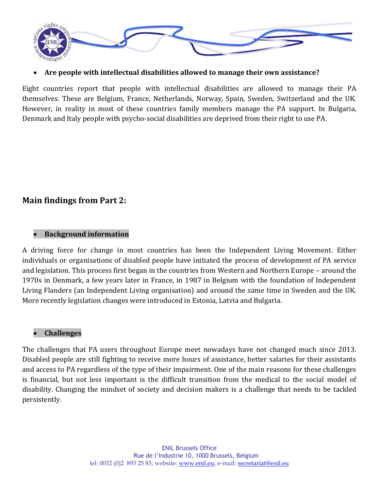

#### **Are people with intellectual disabilities allowed to manage their own assistance?**

Eight countries report that people with intellectual disabilities are allowed to manage their PA themselves. These are Belgium, France, Netherlands, Norway, Spain, Sweden, Switzerland and the UK. However, in reality in most of these countries family members manage the PA support. In Bulgaria, Denmark and Italy people with psycho-social disabilities are deprived from their right to use PA.

# **Main findings from Part 2:**

#### **Background information**

A driving force for change in most countries has been the Independent Living Movement. Either individuals or organisations of disabled people have initiated the process of development of PA service and legislation. This process first began in the countries from Western and Northern Europe – around the 1970s in Denmark, a few years later in France, in 1987 in Belgium with the foundation of Independent Living Flanders (an Independent Living organisation) and around the same time in Sweden and the UK. More recently legislation changes were introduced in Estonia, Latvia and Bulgaria.

#### **Challenges**

The challenges that PA users throughout Europe meet nowadays have not changed much since 2013. Disabled people are still fighting to receive more hours of assistance, better salaries for their assistants and access to PA regardless of the type of their impairment. One of the main reasons for these challenges is financial, but not less important is the difficult transition from the medical to the social model of disability. Changing the mindset of society and decision makers is a challenge that needs to be tackled persistently.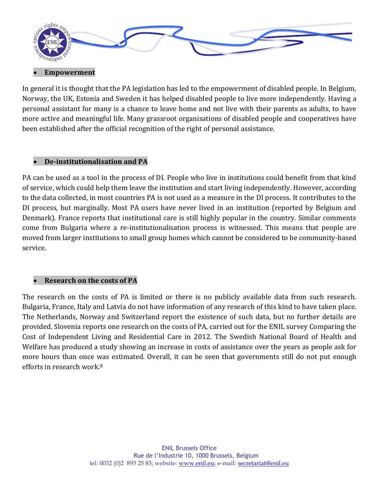

#### **Empowerment**

In general it is thought that the PA legislation has led to the empowerment of disabled people. In Belgium, Norway, the UK, Estonia and Sweden it has helped disabled people to live more independently. Having a personal assistant for many is a chance to leave home and not live with their parents as adults, to have more active and meaningful life. Many grassroot organisations of disabled people and cooperatives have been established after the official recognition of the right of personal assistance.

#### **De-institutionalisation and PA**

PA can be used as a tool in the process of DI. People who live in institutions could benefit from that kind of service, which could help them leave the institution and start living independently. However, according to the data collected, in most countries PA is not used as a measure in the DI process. It contributes to the DI process, but marginally. Most PA users have never lived in an institution (reported by Belgium and Denmark). France reports that institutional care is still highly popular in the country. Similar comments come from Bulgaria where a re-institutionalisation process is witnessed. This means that people are moved from larger institutions to small group homes which cannot be considered to be community-based service.

## **Research on the costs of PA**

The research on the costs of PA is limited or there is no publicly available data from such research. Bulgaria, France, Italy and Latvia do not have information of any research of this kind to have taken place. The Netherlands, Norway and Switzerland report the existence of such data, but no further details are provided. Slovenia reports one research on the costs of PA, carried out for the ENIL survey Comparing the Cost of Independent Living and Residential Care in 2012. The Swedish National Board of Health and Welfare has produced a study showing an increase in costs of assistance over the years as people ask for more hours than once was estimated. Overall, it can be seen that governments still do not put enough efforts in research work.8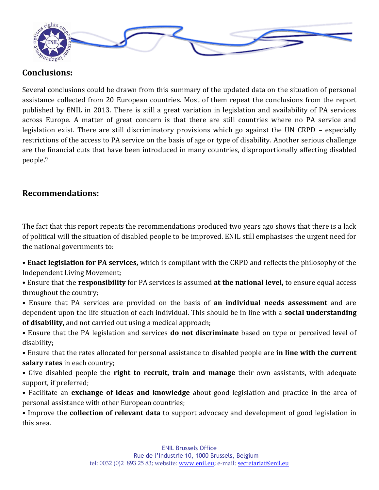

# **Conclusions:**

Several conclusions could be drawn from this summary of the updated data on the situation of personal assistance collected from 20 European countries. Most of them repeat the conclusions from the report published by ENIL in 2013. There is still a great variation in legislation and availability of PA services across Europe. A matter of great concern is that there are still countries where no PA service and legislation exist. There are still discriminatory provisions which go against the UN CRPD – especially restrictions of the access to PA service on the basis of age or type of disability. Another serious challenge are the financial cuts that have been introduced in many countries, disproportionally affecting disabled people.<sup>9</sup>

# **Recommendations:**

The fact that this report repeats the recommendations produced two years ago shows that there is a lack of political will the situation of disabled people to be improved. ENIL still emphasises the urgent need for the national governments to:

• **Enact legislation for PA services,** which is compliant with the CRPD and reflects the philosophy of the Independent Living Movement;

• Ensure that the **responsibility** for PA services is assumed **at the national level,** to ensure equal access throughout the country;

- Ensure that PA services are provided on the basis of **an individual needs assessment** and are dependent upon the life situation of each individual. This should be in line with a **social understanding of disability,** and not carried out using a medical approach;
- Ensure that the PA legislation and services **do not discriminate** based on type or perceived level of disability;
- Ensure that the rates allocated for personal assistance to disabled people are **in line with the current salary rates** in each country;
- Give disabled people the **right to recruit, train and manage** their own assistants, with adequate support, if preferred;
- Facilitate an **exchange of ideas and knowledge** about good legislation and practice in the area of personal assistance with other European countries;

• Improve the **collection of relevant data** to support advocacy and development of good legislation in this area.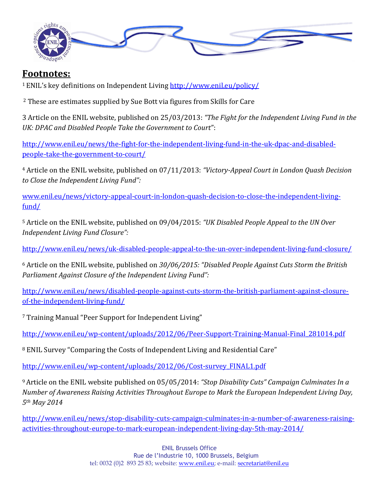

# **Footnotes:**

<sup>1</sup>ENIL's key definitions on Independent Living <http://www.enil.eu/policy/>

<sup>2</sup> These are estimates supplied by Sue Bott via figures from Skills for Care

3 Article on the ENIL website, published on 25/03/2013: *"The Fight for the Independent Living Fund in the UK: DPAC and Disabled People Take the Government to Court*":

[http://www.enil.eu/news/the-fight-for-the-independent-living-fund-in-the-uk-dpac-and-disabled](http://www.enil.eu/news/the-fight-for-the-independent-living-fund-in-the-uk-dpac-and-disabled-people-take-the-government-to-court/)[people-take-the-government-to-court/](http://www.enil.eu/news/the-fight-for-the-independent-living-fund-in-the-uk-dpac-and-disabled-people-take-the-government-to-court/)

<sup>4</sup> Article on the ENIL website, published on 07/11/2013: *"Victory-Appeal Court in London Quash Decision to Close the Independent Living Fund":*

[www.enil.eu/news/victory-appeal-court-in-london-quash-decision-to-close-the-independent-living](http://www.enil.eu/news/victory-appeal-court-in-london-quash-decision-to-close-the-independent-living-fund/)[fund/](http://www.enil.eu/news/victory-appeal-court-in-london-quash-decision-to-close-the-independent-living-fund/)

<sup>5</sup> Article on the ENIL website, published on 09/04/2015: *"UK Disabled People Appeal to the UN Over Independent Living Fund Closure":*

<http://www.enil.eu/news/uk-disabled-people-appeal-to-the-un-over-independent-living-fund-closure/>

<sup>6</sup> Article on the ENIL website, published on *30/06/2015: "Disabled People Against Cuts Storm the British Parliament Against Closure of the Independent Living Fund":*

[http://www.enil.eu/news/disabled-people-against-cuts-storm-the-british-parliament-against-closure](http://www.enil.eu/news/disabled-people-against-cuts-storm-the-british-parliament-against-closure-of-the-independent-living-fund/)[of-the-independent-living-fund/](http://www.enil.eu/news/disabled-people-against-cuts-storm-the-british-parliament-against-closure-of-the-independent-living-fund/)

<sup>7</sup> Training Manual "Peer Support for Independent Living"

[http://www.enil.eu/wp-content/uploads/2012/06/Peer-Support-Training-Manual-Final\\_281014.pdf](http://www.enil.eu/wp-content/uploads/2012/06/Peer-Support-Training-Manual-Final_281014.pdf)

<sup>8</sup> ENIL Survey "Comparing the Costs of Independent Living and Residential Care"

[http://www.enil.eu/wp-content/uploads/2012/06/Cost-survey\\_FINAL1.pdf](http://www.enil.eu/wp-content/uploads/2012/06/Cost-survey_FINAL1.pdf)

<sup>9</sup>Article on the ENIL website published on 05/05/2014: *"Stop Disability Cuts" Campaign Culminates In a Number of Awareness Raising Activities Throughout Europe to Mark the European Independent Living Day, 5th May 2014*

[http://www.enil.eu/news/stop-disability-cuts-campaign-culminates-in-a-number-of-awareness-raising](http://www.enil.eu/news/stop-disability-cuts-campaign-culminates-in-a-number-of-awareness-raising-activities-throughout-europe-to-mark-european-independent-living-day-5th-may-2014/)[activities-throughout-europe-to-mark-european-independent-living-day-5th-may-2014/](http://www.enil.eu/news/stop-disability-cuts-campaign-culminates-in-a-number-of-awareness-raising-activities-throughout-europe-to-mark-european-independent-living-day-5th-may-2014/)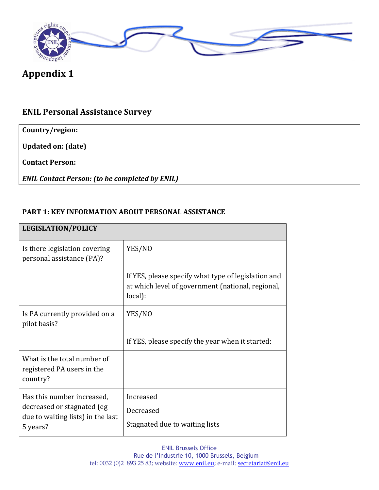

# **Appendix 1**

# **ENIL Personal Assistance Survey**

**Country/region:** 

**Updated on: (date)** 

**Contact Person:** 

*ENIL Contact Person: (to be completed by ENIL)*

#### **PART 1: KEY INFORMATION ABOUT PERSONAL ASSISTANCE**

# **LEGISLATION/POLICY** Is there legislation covering personal assistance (PA)? YES/NO If YES, please specify what type of legislation and at which level of government (national, regional, local): Is PA currently provided on a pilot basis? YES/NO If YES, please specify the year when it started: What is the total number of registered PA users in the country? Has this number increased, decreased or stagnated (eg due to waiting lists) in the last 5 years? Increased Decreased Stagnated due to waiting lists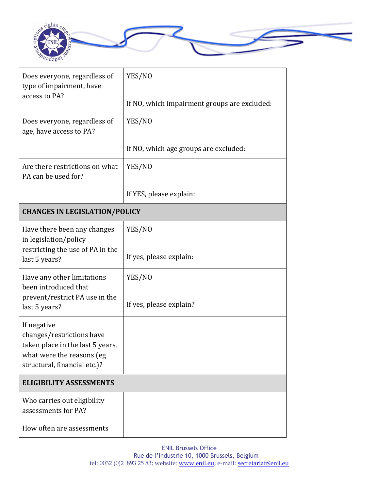

| Does everyone, regardless of<br>type of impairment, have<br>access to PA?                                                                 | YES/NO                                       |  |
|-------------------------------------------------------------------------------------------------------------------------------------------|----------------------------------------------|--|
|                                                                                                                                           | If NO, which impairment groups are excluded: |  |
| Does everyone, regardless of<br>age, have access to PA?                                                                                   | YES/NO                                       |  |
|                                                                                                                                           | If NO, which age groups are excluded:        |  |
| Are there restrictions on what<br>PA can be used for?                                                                                     | YES/NO                                       |  |
|                                                                                                                                           | If YES, please explain:                      |  |
| <b>CHANGES IN LEGISLATION/POLICY</b>                                                                                                      |                                              |  |
| Have there been any changes<br>in legislation/policy<br>restricting the use of PA in the                                                  | YES/NO                                       |  |
| last 5 years?                                                                                                                             | If yes, please explain:                      |  |
| Have any other limitations<br>been introduced that<br>prevent/restrict PA use in the                                                      | YES/NO<br>If yes, please explain?            |  |
| last 5 years?                                                                                                                             |                                              |  |
| If negative<br>changes/restrictions have<br>taken place in the last 5 years,<br>what were the reasons (eg<br>structural, financial etc.)? |                                              |  |
| <b>ELIGIBILITY ASSESSMENTS</b>                                                                                                            |                                              |  |
| Who carries out eligibility<br>assessments for PA?                                                                                        |                                              |  |
| How often are assessments                                                                                                                 |                                              |  |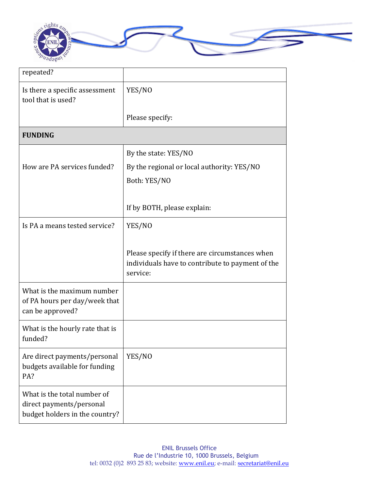

| repeated?                                                                                 |                                                                                                                |
|-------------------------------------------------------------------------------------------|----------------------------------------------------------------------------------------------------------------|
| Is there a specific assessment<br>tool that is used?                                      | YES/NO                                                                                                         |
|                                                                                           | Please specify:                                                                                                |
| <b>FUNDING</b>                                                                            |                                                                                                                |
|                                                                                           | By the state: YES/NO                                                                                           |
| How are PA services funded?                                                               | By the regional or local authority: YES/NO                                                                     |
|                                                                                           | Both: YES/NO                                                                                                   |
|                                                                                           |                                                                                                                |
|                                                                                           | If by BOTH, please explain:                                                                                    |
| Is PA a means tested service?                                                             | YES/NO                                                                                                         |
|                                                                                           |                                                                                                                |
|                                                                                           | Please specify if there are circumstances when<br>individuals have to contribute to payment of the<br>service: |
| What is the maximum number<br>of PA hours per day/week that<br>can be approved?           |                                                                                                                |
| What is the hourly rate that is<br>funded?                                                |                                                                                                                |
| Are direct payments/personal<br>budgets available for funding<br>PA?                      | YES/NO                                                                                                         |
| What is the total number of<br>direct payments/personal<br>budget holders in the country? |                                                                                                                |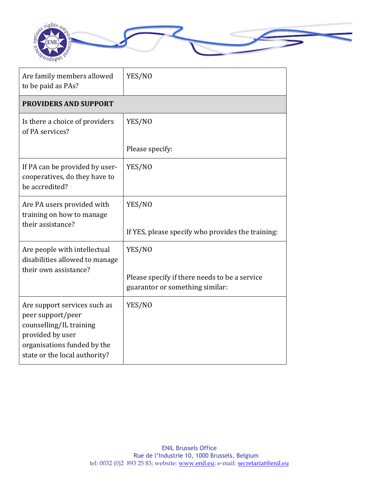

| Are family members allowed<br>to be paid as PAs?                                                                                                                 | YES/NO                                                                                     |  |
|------------------------------------------------------------------------------------------------------------------------------------------------------------------|--------------------------------------------------------------------------------------------|--|
| <b>PROVIDERS AND SUPPORT</b>                                                                                                                                     |                                                                                            |  |
| Is there a choice of providers<br>of PA services?                                                                                                                | YES/NO                                                                                     |  |
|                                                                                                                                                                  | Please specify:                                                                            |  |
| If PA can be provided by user-<br>cooperatives, do they have to<br>be accredited?                                                                                | YES/NO                                                                                     |  |
| Are PA users provided with<br>training on how to manage<br>their assistance?                                                                                     | YES/NO<br>If YES, please specify who provides the training:                                |  |
| Are people with intellectual<br>disabilities allowed to manage<br>their own assistance?                                                                          | YES/NO<br>Please specify if there needs to be a service<br>guarantor or something similar: |  |
| Are support services such as<br>peer support/peer<br>counselling/IL training<br>provided by user<br>organisations funded by the<br>state or the local authority? | YES/NO                                                                                     |  |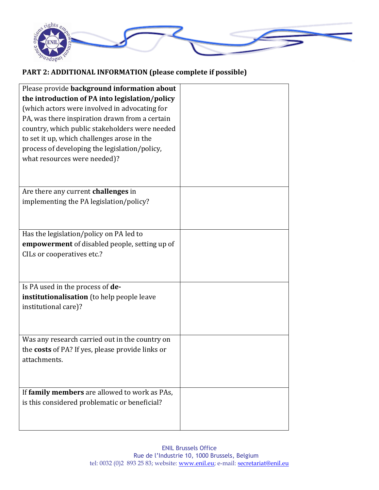

# **PART 2: ADDITIONAL INFORMATION (please complete if possible)**

| Please provide background information about             |  |
|---------------------------------------------------------|--|
| the introduction of PA into legislation/policy          |  |
| (which actors were involved in advocating for           |  |
| PA, was there inspiration drawn from a certain          |  |
| country, which public stakeholders were needed          |  |
| to set it up, which challenges arose in the             |  |
| process of developing the legislation/policy,           |  |
| what resources were needed)?                            |  |
|                                                         |  |
|                                                         |  |
| Are there any current challenges in                     |  |
| implementing the PA legislation/policy?                 |  |
|                                                         |  |
|                                                         |  |
| Has the legislation/policy on PA led to                 |  |
| empowerment of disabled people, setting up of           |  |
| CILs or cooperatives etc.?                              |  |
|                                                         |  |
|                                                         |  |
| Is PA used in the process of de-                        |  |
| institutionalisation (to help people leave              |  |
| institutional care)?                                    |  |
|                                                         |  |
|                                                         |  |
| Was any research carried out in the country on          |  |
| the <b>costs</b> of PA? If yes, please provide links or |  |
| attachments.                                            |  |
|                                                         |  |
|                                                         |  |
| If family members are allowed to work as PAs,           |  |
| is this considered problematic or beneficial?           |  |
|                                                         |  |
|                                                         |  |
|                                                         |  |